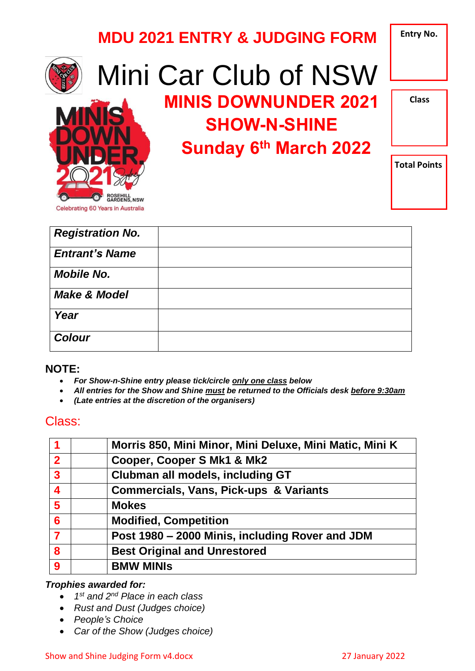# **MDU 2021 ENTRY & JUDGING FORM**



Celebrating 60 Years in Australia

Mini Car Club of NSW  **MINIS DOWNUNDER 2021**

 **SHOW-N-SHINE**

 **Sunday 6th March 2022**

**Class**

**Entry No.**

**Total Points**

| <b>Registration No.</b> |  |
|-------------------------|--|
| <b>Entrant's Name</b>   |  |
| <b>Mobile No.</b>       |  |
| <b>Make &amp; Model</b> |  |
| Year                    |  |
| <b>Colour</b>           |  |

## **NOTE:**

- *For Show-n-Shine entry please tick/circle only one class below*
- *All entries for the Show and Shine must be returned to the Officials desk before 9:30am*
- *(Late entries at the discretion of the organisers)*

## Class:

|                         | Morris 850, Mini Minor, Mini Deluxe, Mini Matic, Mini K |
|-------------------------|---------------------------------------------------------|
| $\overline{2}$          | Cooper, Cooper S Mk1 & Mk2                              |
| $\overline{\mathbf{3}}$ | Clubman all models, including GT                        |
| 4                       | <b>Commercials, Vans, Pick-ups &amp; Variants</b>       |
| $5\phantom{1}$          | <b>Mokes</b>                                            |
| 6                       | <b>Modified, Competition</b>                            |
| $\overline{\mathbf{7}}$ | Post 1980 - 2000 Minis, including Rover and JDM         |
| 8                       | <b>Best Original and Unrestored</b>                     |
| 9                       | <b>BMW MINIS</b>                                        |

### *Trophies awarded for:*

- *1 st and 2nd Place in each class*
- *Rust and Dust (Judges choice)*
- *People's Choice*
- *Car of the Show (Judges choice)*

#### Show and Shine Judging Form v4.docx 27 January 2022